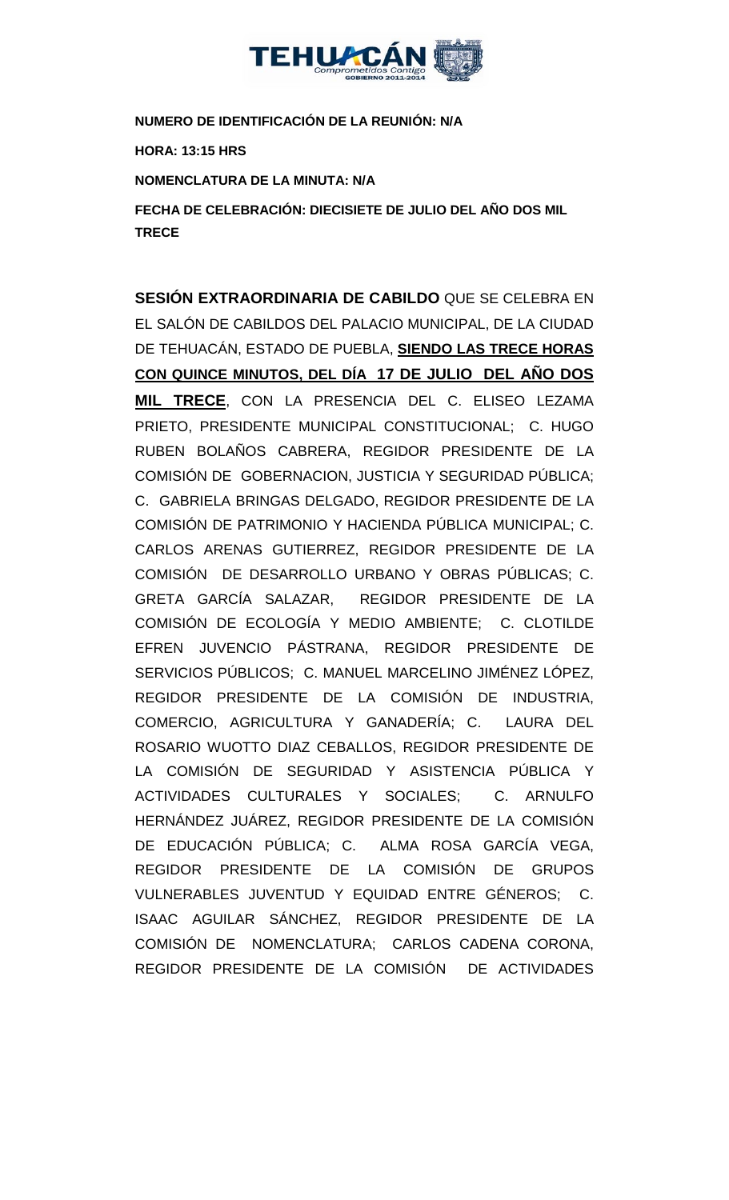

**NUMERO DE IDENTIFICACIÓN DE LA REUNIÓN: N/A**

**HORA: 13:15 HRS**

**NOMENCLATURA DE LA MINUTA: N/A**

**FECHA DE CELEBRACIÓN: DIECISIETE DE JULIO DEL AÑO DOS MIL TRECE** 

**SESIÓN EXTRAORDINARIA DE CABILDO** QUE SE CELEBRA EN EL SALÓN DE CABILDOS DEL PALACIO MUNICIPAL, DE LA CIUDAD DE TEHUACÁN, ESTADO DE PUEBLA, **SIENDO LAS TRECE HORAS CON QUINCE MINUTOS, DEL DÍA 17 DE JULIO DEL AÑO DOS MIL TRECE**, CON LA PRESENCIA DEL C. ELISEO LEZAMA PRIETO, PRESIDENTE MUNICIPAL CONSTITUCIONAL; C. HUGO RUBEN BOLAÑOS CABRERA, REGIDOR PRESIDENTE DE LA COMISIÓN DE GOBERNACION, JUSTICIA Y SEGURIDAD PÚBLICA; C. GABRIELA BRINGAS DELGADO, REGIDOR PRESIDENTE DE LA COMISIÓN DE PATRIMONIO Y HACIENDA PÚBLICA MUNICIPAL; C. CARLOS ARENAS GUTIERREZ, REGIDOR PRESIDENTE DE LA COMISIÓN DE DESARROLLO URBANO Y OBRAS PÚBLICAS; C. GRETA GARCÍA SALAZAR, REGIDOR PRESIDENTE DE LA COMISIÓN DE ECOLOGÍA Y MEDIO AMBIENTE; C. CLOTILDE EFREN JUVENCIO PÁSTRANA, REGIDOR PRESIDENTE DE SERVICIOS PÚBLICOS; C. MANUEL MARCELINO JIMÉNEZ LÓPEZ, REGIDOR PRESIDENTE DE LA COMISIÓN DE INDUSTRIA, COMERCIO, AGRICULTURA Y GANADERÍA; C. LAURA DEL ROSARIO WUOTTO DIAZ CEBALLOS, REGIDOR PRESIDENTE DE LA COMISIÓN DE SEGURIDAD Y ASISTENCIA PÚBLICA Y ACTIVIDADES CULTURALES Y SOCIALES; C. ARNULFO HERNÁNDEZ JUÁREZ, REGIDOR PRESIDENTE DE LA COMISIÓN DE EDUCACIÓN PÚBLICA; C. ALMA ROSA GARCÍA VEGA, REGIDOR PRESIDENTE DE LA COMISIÓN DE GRUPOS VULNERABLES JUVENTUD Y EQUIDAD ENTRE GÉNEROS; C. ISAAC AGUILAR SÁNCHEZ, REGIDOR PRESIDENTE DE LA COMISIÓN DE NOMENCLATURA; CARLOS CADENA CORONA, REGIDOR PRESIDENTE DE LA COMISIÓN DE ACTIVIDADES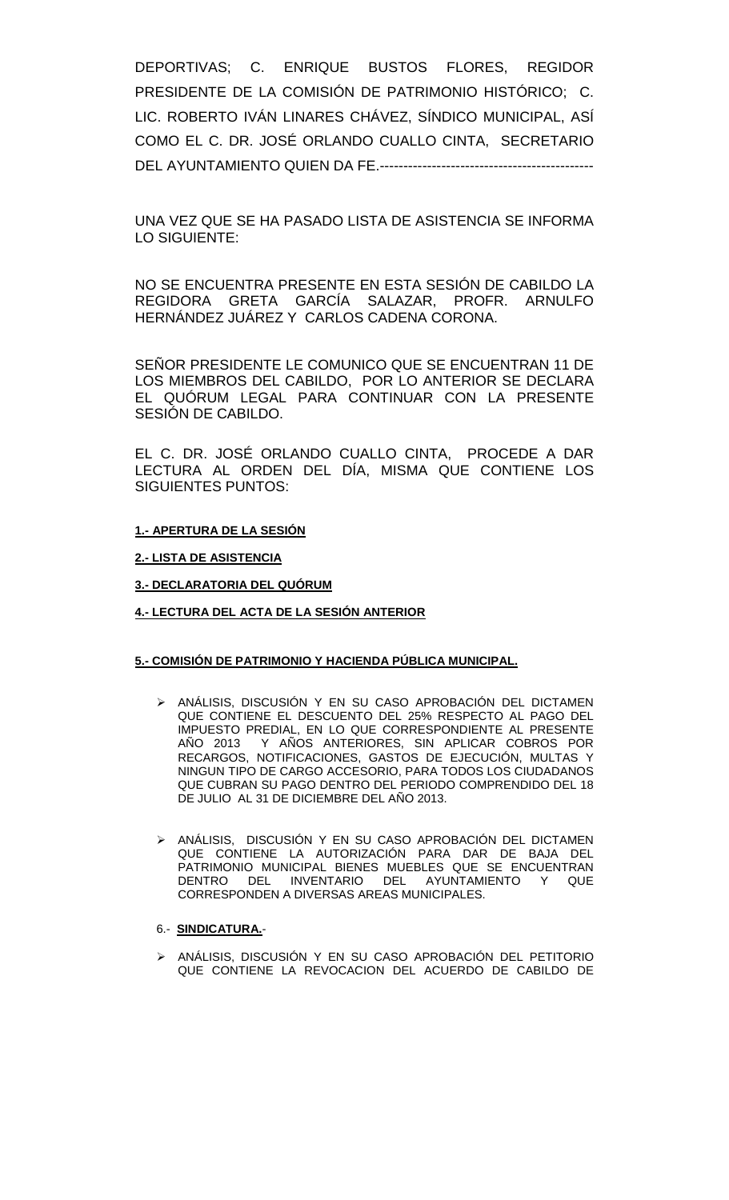DEPORTIVAS; C. ENRIQUE BUSTOS FLORES, REGIDOR PRESIDENTE DE LA COMISIÓN DE PATRIMONIO HISTÓRICO; C. LIC. ROBERTO IVÁN LINARES CHÁVEZ, SÍNDICO MUNICIPAL, ASÍ COMO EL C. DR. JOSÉ ORLANDO CUALLO CINTA, SECRETARIO DEL AYUNTAMIENTO QUIEN DA FE.---------------------------------------------

UNA VEZ QUE SE HA PASADO LISTA DE ASISTENCIA SE INFORMA LO SIGUIENTE:

NO SE ENCUENTRA PRESENTE EN ESTA SESIÓN DE CABILDO LA REGIDORA GRETA GARCÍA SALAZAR, PROFR. ARNULFO HERNÁNDEZ JUÁREZ Y CARLOS CADENA CORONA.

SEÑOR PRESIDENTE LE COMUNICO QUE SE ENCUENTRAN 11 DE LOS MIEMBROS DEL CABILDO, POR LO ANTERIOR SE DECLARA EL QUÓRUM LEGAL PARA CONTINUAR CON LA PRESENTE SESIÓN DE CABILDO.

EL C. DR. JOSÉ ORLANDO CUALLO CINTA, PROCEDE A DAR LECTURA AL ORDEN DEL DÍA, MISMA QUE CONTIENE LOS SIGUIENTES PUNTOS:

#### **1.- APERTURA DE LA SESIÓN**

**2.- LISTA DE ASISTENCIA**

**3.- DECLARATORIA DEL QUÓRUM**

**4.- LECTURA DEL ACTA DE LA SESIÓN ANTERIOR** 

#### **5.- COMISIÓN DE PATRIMONIO Y HACIENDA PÚBLICA MUNICIPAL.**

- > ANÁLISIS, DISCUSIÓN Y EN SU CASO APROBACIÓN DEL DICTAMEN QUE CONTIENE EL DESCUENTO DEL 25% RESPECTO AL PAGO DEL IMPUESTO PREDIAL, EN LO QUE CORRESPONDIENTE AL PRESENTE AÑO 2013 Y AÑOS ANTERIORES, SIN APLICAR COBROS POR RECARGOS, NOTIFICACIONES, GASTOS DE EJECUCIÓN, MULTAS Y NINGUN TIPO DE CARGO ACCESORIO, PARA TODOS LOS CIUDADANOS QUE CUBRAN SU PAGO DENTRO DEL PERIODO COMPRENDIDO DEL 18 DE JULIO AL 31 DE DICIEMBRE DEL AÑO 2013.
- > ANÁLISIS, DISCUSIÓN Y EN SU CASO APROBACIÓN DEL DICTAMEN QUE CONTIENE LA AUTORIZACIÓN PARA DAR DE BAJA DEL PATRIMONIO MUNICIPAL BIENES MUEBLES QUE SE ENCUENTRAN DENTRO DEL INVENTARIO DEL AYUNTAMIENTO Y QUE CORRESPONDEN A DIVERSAS AREAS MUNICIPALES.

#### 6.- **SINDICATURA.**-

 ANÁLISIS, DISCUSIÓN Y EN SU CASO APROBACIÓN DEL PETITORIO QUE CONTIENE LA REVOCACION DEL ACUERDO DE CABILDO DE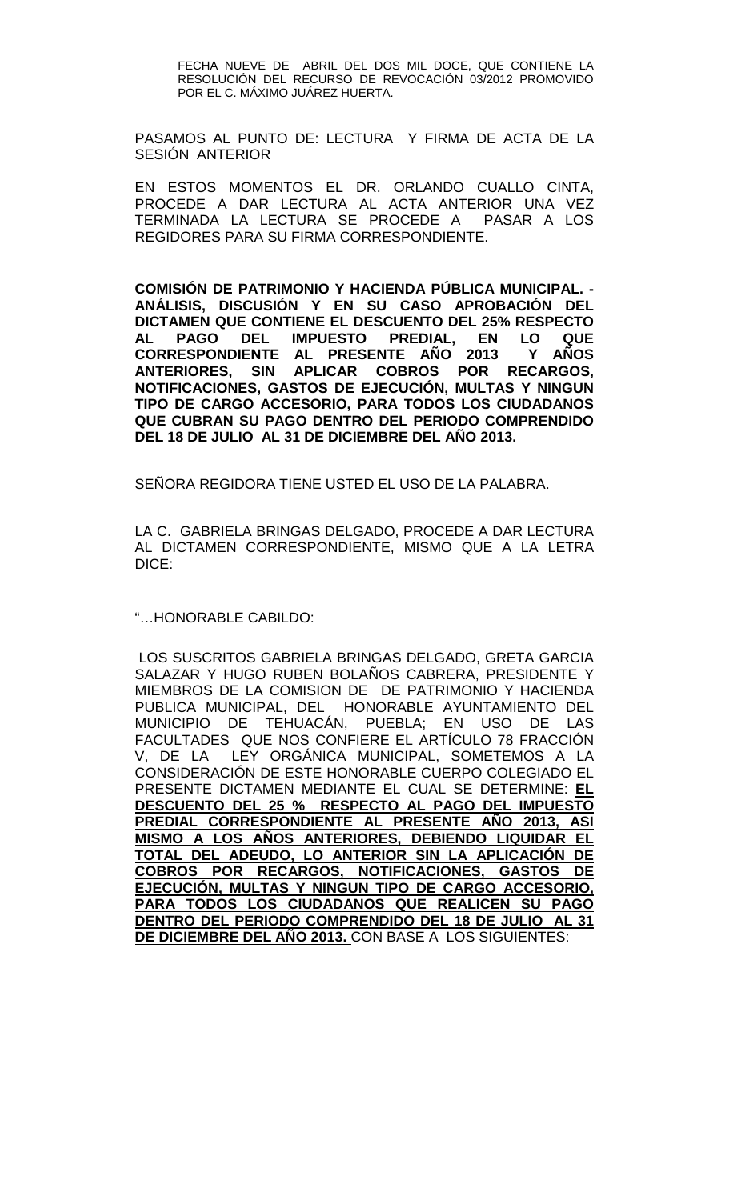FECHA NUEVE DE ABRIL DEL DOS MIL DOCE, QUE CONTIENE LA RESOLUCIÓN DEL RECURSO DE REVOCACIÓN 03/2012 PROMOVIDO POR EL C. MÁXIMO JUÁREZ HUERTA.

PASAMOS AL PUNTO DE: LECTURA Y FIRMA DE ACTA DE LA SESIÓN ANTERIOR

EN ESTOS MOMENTOS EL DR. ORLANDO CUALLO CINTA, PROCEDE A DAR LECTURA AL ACTA ANTERIOR UNA VEZ TERMINADA LA LECTURA SE PROCEDE A PASAR A LOS REGIDORES PARA SU FIRMA CORRESPONDIENTE.

**COMISIÓN DE PATRIMONIO Y HACIENDA PÚBLICA MUNICIPAL. - ANÁLISIS, DISCUSIÓN Y EN SU CASO APROBACIÓN DEL DICTAMEN QUE CONTIENE EL DESCUENTO DEL 25% RESPECTO AL PAGO DEL IMPUESTO PREDIAL, EN LO QUE CORRESPONDIENTE AL PRESENTE AÑO 2013 Y ANTERIORES, SIN APLICAR COBROS POR RECARGOS, NOTIFICACIONES, GASTOS DE EJECUCIÓN, MULTAS Y NINGUN TIPO DE CARGO ACCESORIO, PARA TODOS LOS CIUDADANOS QUE CUBRAN SU PAGO DENTRO DEL PERIODO COMPRENDIDO DEL 18 DE JULIO AL 31 DE DICIEMBRE DEL AÑO 2013.**

SEÑORA REGIDORA TIENE USTED EL USO DE LA PALABRA.

LA C. GABRIELA BRINGAS DELGADO, PROCEDE A DAR LECTURA AL DICTAMEN CORRESPONDIENTE, MISMO QUE A LA LETRA DICE:

"…HONORABLE CABILDO:

LOS SUSCRITOS GABRIELA BRINGAS DELGADO, GRETA GARCIA SALAZAR Y HUGO RUBEN BOLAÑOS CABRERA, PRESIDENTE Y MIEMBROS DE LA COMISION DE DE PATRIMONIO Y HACIENDA PUBLICA MUNICIPAL, DEL HONORABLE AYUNTAMIENTO DEL MUNICIPIO DE TEHUACÁN, PUEBLA; EN USO DE LAS FACULTADES QUE NOS CONFIERE EL ARTÍCULO 78 FRACCIÓN V, DE LA LEY ORGÁNICA MUNICIPAL, SOMETEMOS A LA CONSIDERACIÓN DE ESTE HONORABLE CUERPO COLEGIADO EL PRESENTE DICTAMEN MEDIANTE EL CUAL SE DETERMINE: **EL DESCUENTO DEL 25 % RESPECTO AL PAGO DEL IMPUESTO PREDIAL CORRESPONDIENTE AL PRESENTE AÑO 2013, ASI MISMO A LOS AÑOS ANTERIORES, DEBIENDO LIQUIDAR EL TOTAL DEL ADEUDO, LO ANTERIOR SIN LA APLICACIÓN DE COBROS POR RECARGOS, NOTIFICACIONES, GASTOS DE EJECUCIÓN, MULTAS Y NINGUN TIPO DE CARGO ACCESORIO, PARA TODOS LOS CIUDADANOS QUE REALICEN SU PAGO DENTRO DEL PERIODO COMPRENDIDO DEL 18 DE JULIO AL 31 DE DICIEMBRE DEL AÑO 2013.** CON BASE A LOS SIGUIENTES: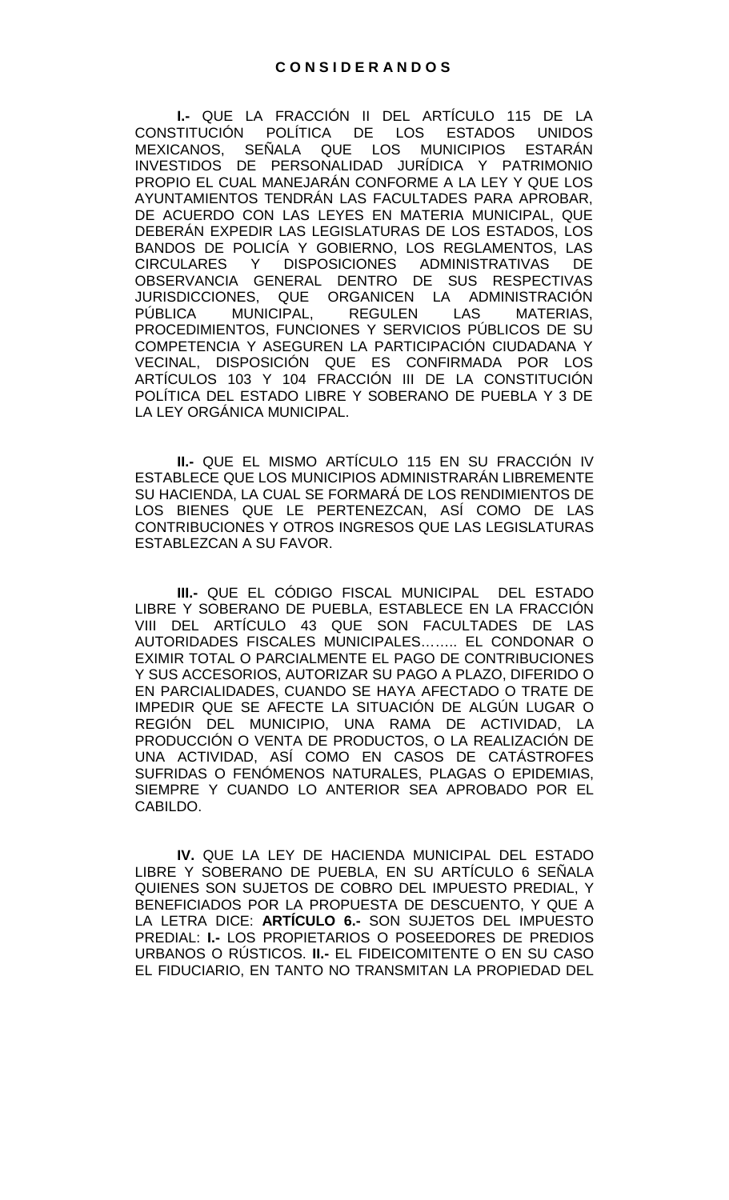**I.-** QUE LA FRACCIÓN II DEL ARTÍCULO 115 DE LA<br>CONSTITUCIÓN POLÍTICA DE LOS ESTADOS UNIDOS POLÍTICA DE LOS MEXICANOS, SEÑALA QUE LOS MUNICIPIOS ESTARÁN INVESTIDOS DE PERSONALIDAD JURÍDICA Y PATRIMONIO PROPIO EL CUAL MANEJARÁN CONFORME A LA LEY Y QUE LOS AYUNTAMIENTOS TENDRÁN LAS FACULTADES PARA APROBAR, DE ACUERDO CON LAS LEYES EN MATERIA MUNICIPAL, QUE DEBERÁN EXPEDIR LAS LEGISLATURAS DE LOS ESTADOS, LOS BANDOS DE POLICÍA Y GOBIERNO, LOS REGLAMENTOS, LAS CIRCULARES Y DISPOSICIONES ADMINISTRATIVAS DE OBSERVANCIA GENERAL DENTRO DE SUS RESPECTIVAS JURISDICCIONES, QUE ORGANICEN LA ADMINISTRACIÓN<br>PÚBLICA MUNICIPAL, REGULEN LAS MATERIAS. PÚBLICA MUNICIPAL, PROCEDIMIENTOS, FUNCIONES Y SERVICIOS PÚBLICOS DE SU COMPETENCIA Y ASEGUREN LA PARTICIPACIÓN CIUDADANA Y VECINAL, DISPOSICIÓN QUE ES CONFIRMADA POR LOS ARTÍCULOS 103 Y 104 FRACCIÓN III DE LA CONSTITUCIÓN POLÍTICA DEL ESTADO LIBRE Y SOBERANO DE PUEBLA Y 3 DE LA LEY ORGÁNICA MUNICIPAL.

**II.-** QUE EL MISMO ARTÍCULO 115 EN SU FRACCIÓN IV ESTABLECE QUE LOS MUNICIPIOS ADMINISTRARÁN LIBREMENTE SU HACIENDA, LA CUAL SE FORMARÁ DE LOS RENDIMIENTOS DE LOS BIENES QUE LE PERTENEZCAN, ASÍ COMO DE LAS CONTRIBUCIONES Y OTROS INGRESOS QUE LAS LEGISLATURAS ESTABLEZCAN A SU FAVOR.

**III.-** QUE EL CÓDIGO FISCAL MUNICIPAL DEL ESTADO LIBRE Y SOBERANO DE PUEBLA, ESTABLECE EN LA FRACCIÓN VIII DEL ARTÍCULO 43 QUE SON FACULTADES DE LAS AUTORIDADES FISCALES MUNICIPALES…….. EL CONDONAR O EXIMIR TOTAL O PARCIALMENTE EL PAGO DE CONTRIBUCIONES Y SUS ACCESORIOS, AUTORIZAR SU PAGO A PLAZO, DIFERIDO O EN PARCIALIDADES, CUANDO SE HAYA AFECTADO O TRATE DE IMPEDIR QUE SE AFECTE LA SITUACIÓN DE ALGÚN LUGAR O REGIÓN DEL MUNICIPIO, UNA RAMA DE ACTIVIDAD, LA PRODUCCIÓN O VENTA DE PRODUCTOS, O LA REALIZACIÓN DE UNA ACTIVIDAD, ASÍ COMO EN CASOS DE CATÁSTROFES SUFRIDAS O FENÓMENOS NATURALES, PLAGAS O EPIDEMIAS, SIEMPRE Y CUANDO LO ANTERIOR SEA APROBADO POR EL CABILDO.

**IV.** QUE LA LEY DE HACIENDA MUNICIPAL DEL ESTADO LIBRE Y SOBERANO DE PUEBLA, EN SU ARTÍCULO 6 SEÑALA QUIENES SON SUJETOS DE COBRO DEL IMPUESTO PREDIAL, Y BENEFICIADOS POR LA PROPUESTA DE DESCUENTO, Y QUE A LA LETRA DICE: **ARTÍCULO 6.-** SON SUJETOS DEL IMPUESTO PREDIAL: **I.-** LOS PROPIETARIOS O POSEEDORES DE PREDIOS URBANOS O RÚSTICOS. **II.-** EL FIDEICOMITENTE O EN SU CASO EL FIDUCIARIO, EN TANTO NO TRANSMITAN LA PROPIEDAD DEL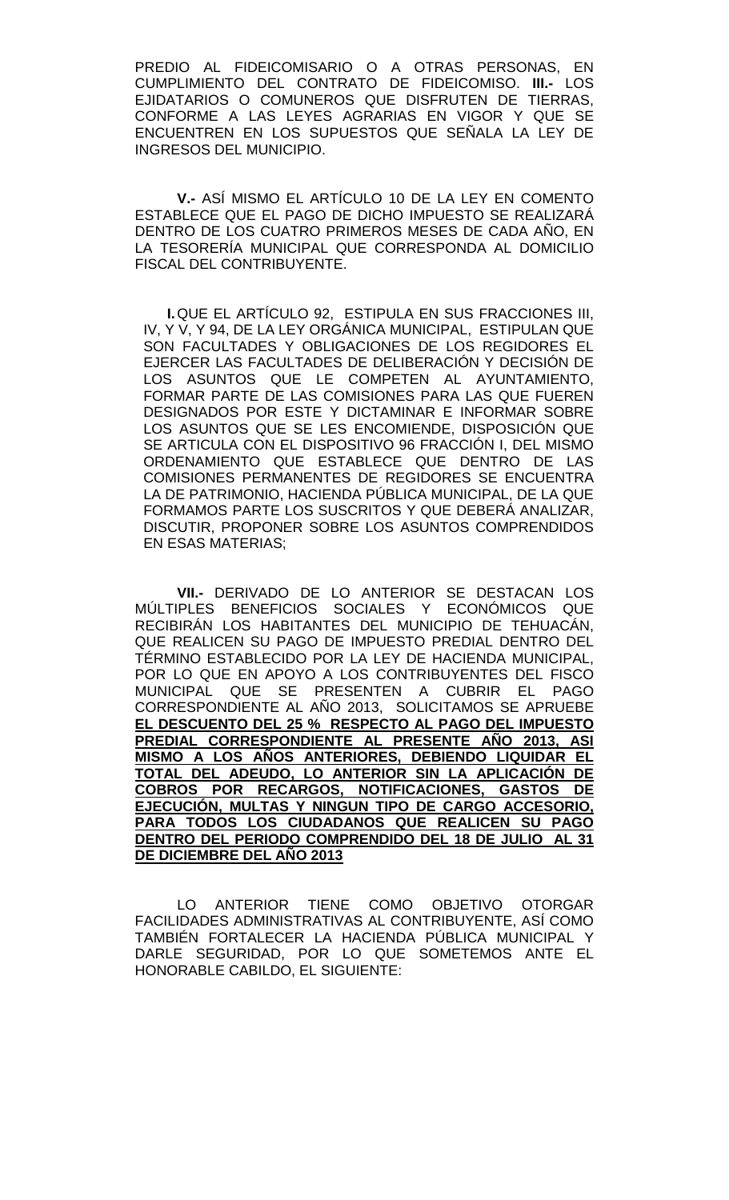PREDIO AL FIDEICOMISARIO O A OTRAS PERSONAS, EN CUMPLIMIENTO DEL CONTRATO DE FIDEICOMISO. **III.-** LOS EJIDATARIOS O COMUNEROS QUE DISFRUTEN DE TIERRAS, CONFORME A LAS LEYES AGRARIAS EN VIGOR Y QUE SE ENCUENTREN EN LOS SUPUESTOS QUE SEÑALA LA LEY DE INGRESOS DEL MUNICIPIO.

**V.-** ASÍ MISMO EL ARTÍCULO 10 DE LA LEY EN COMENTO ESTABLECE QUE EL PAGO DE DICHO IMPUESTO SE REALIZARÁ DENTRO DE LOS CUATRO PRIMEROS MESES DE CADA AÑO, EN LA TESORERÍA MUNICIPAL QUE CORRESPONDA AL DOMICILIO FISCAL DEL CONTRIBUYENTE.

**I.**QUE EL ARTÍCULO 92, ESTIPULA EN SUS FRACCIONES III, IV, Y V, Y 94, DE LA LEY ORGÁNICA MUNICIPAL, ESTIPULAN QUE SON FACULTADES Y OBLIGACIONES DE LOS REGIDORES EL EJERCER LAS FACULTADES DE DELIBERACIÓN Y DECISIÓN DE LOS ASUNTOS QUE LE COMPETEN AL AYUNTAMIENTO, FORMAR PARTE DE LAS COMISIONES PARA LAS QUE FUEREN DESIGNADOS POR ESTE Y DICTAMINAR E INFORMAR SOBRE LOS ASUNTOS QUE SE LES ENCOMIENDE, DISPOSICIÓN QUE SE ARTICULA CON EL DISPOSITIVO 96 FRACCIÓN I, DEL MISMO ORDENAMIENTO QUE ESTABLECE QUE DENTRO DE LAS COMISIONES PERMANENTES DE REGIDORES SE ENCUENTRA LA DE PATRIMONIO, HACIENDA PÚBLICA MUNICIPAL, DE LA QUE FORMAMOS PARTE LOS SUSCRITOS Y QUE DEBERÁ ANALIZAR, DISCUTIR, PROPONER SOBRE LOS ASUNTOS COMPRENDIDOS EN ESAS MATERIAS;

**VII.-** DERIVADO DE LO ANTERIOR SE DESTACAN LOS MÚLTIPLES BENEFICIOS SOCIALES Y ECONÓMICOS QUE RECIBIRÁN LOS HABITANTES DEL MUNICIPIO DE TEHUACÁN, QUE REALICEN SU PAGO DE IMPUESTO PREDIAL DENTRO DEL TÉRMINO ESTABLECIDO POR LA LEY DE HACIENDA MUNICIPAL, POR LO QUE EN APOYO A LOS CONTRIBUYENTES DEL FISCO MUNICIPAL QUE SE PRESENTEN A CUBRIR EL PAGO CORRESPONDIENTE AL AÑO 2013, SOLICITAMOS SE APRUEBE **EL DESCUENTO DEL 25 % RESPECTO AL PAGO DEL IMPUESTO PREDIAL CORRESPONDIENTE AL PRESENTE AÑO 2013, ASI MISMO A LOS AÑOS ANTERIORES, DEBIENDO LIQUIDAR EL TOTAL DEL ADEUDO, LO ANTERIOR SIN LA APLICACIÓN DE COBROS POR RECARGOS, NOTIFICACIONES, GASTOS DE EJECUCIÓN, MULTAS Y NINGUN TIPO DE CARGO ACCESORIO, PARA TODOS LOS CIUDADANOS QUE REALICEN SU PAGO DENTRO DEL PERIODO COMPRENDIDO DEL 18 DE JULIO AL 31 DE DICIEMBRE DEL AÑO 2013**

LO ANTERIOR TIENE COMO OBJETIVO OTORGAR FACILIDADES ADMINISTRATIVAS AL CONTRIBUYENTE, ASÍ COMO TAMBIÉN FORTALECER LA HACIENDA PÚBLICA MUNICIPAL Y DARLE SEGURIDAD, POR LO QUE SOMETEMOS ANTE EL HONORABLE CABILDO, EL SIGUIENTE: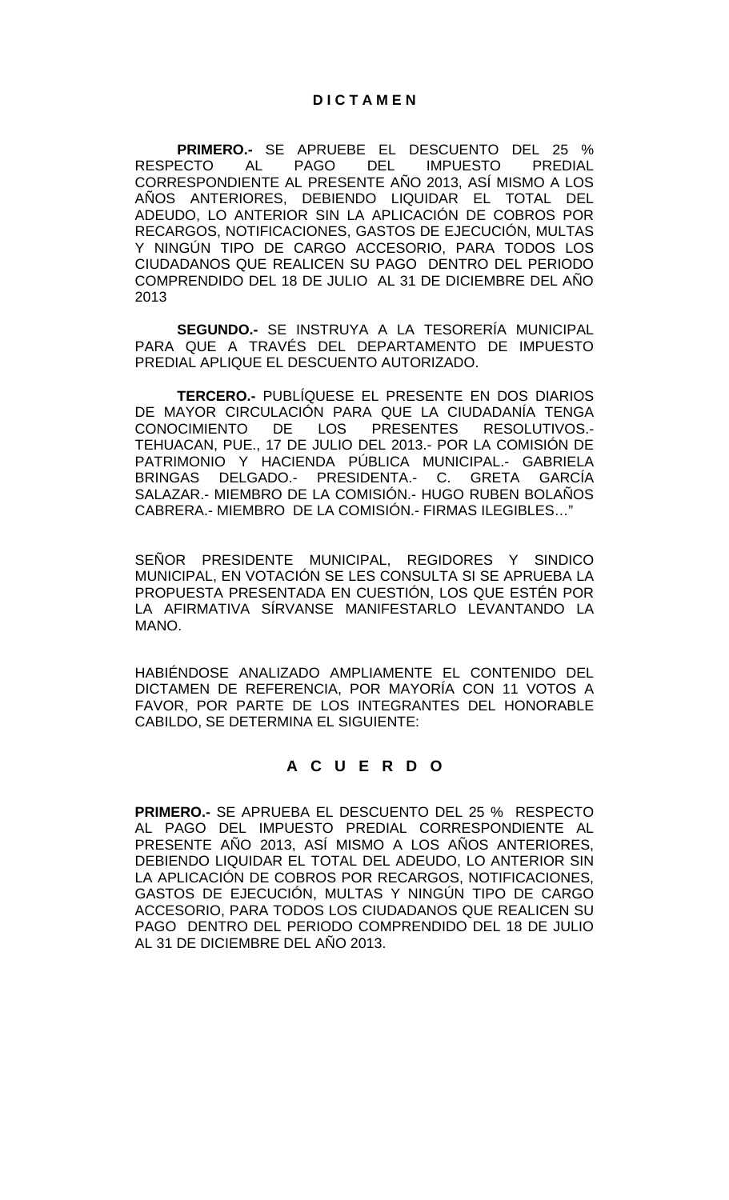**PRIMERO.-** SE APRUEBE EL DESCUENTO DEL 25 %<br>RESPECTO AL PAGO DEL IMPUESTO PREDIAL **IMPUESTO** CORRESPONDIENTE AL PRESENTE AÑO 2013, ASÍ MISMO A LOS AÑOS ANTERIORES, DEBIENDO LIQUIDAR EL TOTAL DEL ADEUDO, LO ANTERIOR SIN LA APLICACIÓN DE COBROS POR RECARGOS, NOTIFICACIONES, GASTOS DE EJECUCIÓN, MULTAS Y NINGÚN TIPO DE CARGO ACCESORIO, PARA TODOS LOS CIUDADANOS QUE REALICEN SU PAGO DENTRO DEL PERIODO COMPRENDIDO DEL 18 DE JULIO AL 31 DE DICIEMBRE DEL AÑO 2013

**SEGUNDO.-** SE INSTRUYA A LA TESORERÍA MUNICIPAL PARA QUE A TRAVÉS DEL DEPARTAMENTO DE IMPUESTO PREDIAL APLIQUE EL DESCUENTO AUTORIZADO.

**TERCERO.-** PUBLÍQUESE EL PRESENTE EN DOS DIARIOS DE MAYOR CIRCULACIÓN PARA QUE LA CIUDADANÍA TENGA CONOCIMIENTO DE LOS PRESENTES RESOLUTIVOS.- TEHUACAN, PUE., 17 DE JULIO DEL 2013.- POR LA COMISIÓN DE PATRIMONIO Y HACIENDA PÚBLICA MUNICIPAL.- GABRIELA BRINGAS DELGADO.- PRESIDENTA.- C. GRETA GARCÍA SALAZAR.- MIEMBRO DE LA COMISIÓN.- HUGO RUBEN BOLAÑOS CABRERA.- MIEMBRO DE LA COMISIÓN.- FIRMAS ILEGIBLES…"

SEÑOR PRESIDENTE MUNICIPAL, REGIDORES Y SINDICO MUNICIPAL, EN VOTACIÓN SE LES CONSULTA SI SE APRUEBA LA PROPUESTA PRESENTADA EN CUESTIÓN, LOS QUE ESTÉN POR LA AFIRMATIVA SÍRVANSE MANIFESTARLO LEVANTANDO LA MANO.

HABIÉNDOSE ANALIZADO AMPLIAMENTE EL CONTENIDO DEL DICTAMEN DE REFERENCIA, POR MAYORÍA CON 11 VOTOS A FAVOR, POR PARTE DE LOS INTEGRANTES DEL HONORABLE CABILDO, SE DETERMINA EL SIGUIENTE:

## **A C U E R D O**

**PRIMERO.-** SE APRUEBA EL DESCUENTO DEL 25 % RESPECTO AL PAGO DEL IMPUESTO PREDIAL CORRESPONDIENTE AL PRESENTE AÑO 2013, ASÍ MISMO A LOS AÑOS ANTERIORES, DEBIENDO LIQUIDAR EL TOTAL DEL ADEUDO, LO ANTERIOR SIN LA APLICACIÓN DE COBROS POR RECARGOS, NOTIFICACIONES, GASTOS DE EJECUCIÓN, MULTAS Y NINGÚN TIPO DE CARGO ACCESORIO, PARA TODOS LOS CIUDADANOS QUE REALICEN SU PAGO DENTRO DEL PERIODO COMPRENDIDO DEL 18 DE JULIO AL 31 DE DICIEMBRE DEL AÑO 2013.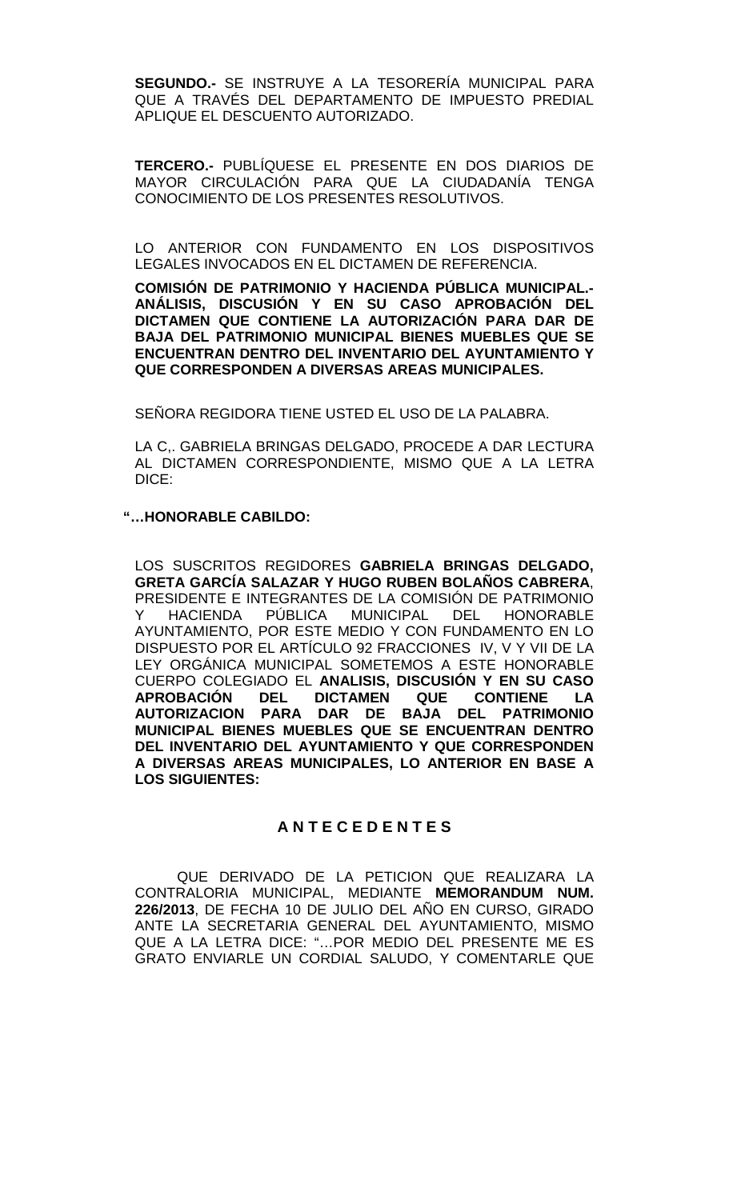**SEGUNDO.-** SE INSTRUYE A LA TESORERÍA MUNICIPAL PARA QUE A TRAVÉS DEL DEPARTAMENTO DE IMPUESTO PREDIAL APLIQUE EL DESCUENTO AUTORIZADO.

**TERCERO.-** PUBLÍQUESE EL PRESENTE EN DOS DIARIOS DE MAYOR CIRCULACIÓN PARA QUE LA CIUDADANÍA TENGA CONOCIMIENTO DE LOS PRESENTES RESOLUTIVOS.

LO ANTERIOR CON FUNDAMENTO EN LOS DISPOSITIVOS LEGALES INVOCADOS EN EL DICTAMEN DE REFERENCIA.

**COMISIÓN DE PATRIMONIO Y HACIENDA PÚBLICA MUNICIPAL.- ANÁLISIS, DISCUSIÓN Y EN SU CASO APROBACIÓN DEL DICTAMEN QUE CONTIENE LA AUTORIZACIÓN PARA DAR DE BAJA DEL PATRIMONIO MUNICIPAL BIENES MUEBLES QUE SE ENCUENTRAN DENTRO DEL INVENTARIO DEL AYUNTAMIENTO Y QUE CORRESPONDEN A DIVERSAS AREAS MUNICIPALES.**

SEÑORA REGIDORA TIENE USTED EL USO DE LA PALABRA.

LA C,. GABRIELA BRINGAS DELGADO, PROCEDE A DAR LECTURA AL DICTAMEN CORRESPONDIENTE, MISMO QUE A LA LETRA DICE:

**"…HONORABLE CABILDO:**

LOS SUSCRITOS REGIDORES **GABRIELA BRINGAS DELGADO, GRETA GARCÍA SALAZAR Y HUGO RUBEN BOLAÑOS CABRERA**, PRESIDENTE E INTEGRANTES DE LA COMISIÓN DE PATRIMONIO<br>Y HACIENDA PÚBLICA MUNICIPAL DEL HONORABLE Y HACIENDA PÚBLICA MUNICIPAL DEL HONORABLE AYUNTAMIENTO, POR ESTE MEDIO Y CON FUNDAMENTO EN LO DISPUESTO POR EL ARTÍCULO 92 FRACCIONES IV, V Y VII DE LA LEY ORGÁNICA MUNICIPAL SOMETEMOS A ESTE HONORABLE CUERPO COLEGIADO EL **ANALISIS, DISCUSIÓN Y EN SU CASO APROBACIÓN DEL DICTAMEN QUE CONTIENE LA AUTORIZACION PARA DAR DE BAJA DEL PATRIMONIO MUNICIPAL BIENES MUEBLES QUE SE ENCUENTRAN DENTRO DEL INVENTARIO DEL AYUNTAMIENTO Y QUE CORRESPONDEN A DIVERSAS AREAS MUNICIPALES, LO ANTERIOR EN BASE A LOS SIGUIENTES:**

## **A N T E C E D E N T E S**

QUE DERIVADO DE LA PETICION QUE REALIZARA LA CONTRALORIA MUNICIPAL, MEDIANTE **MEMORANDUM NUM. 226/2013**, DE FECHA 10 DE JULIO DEL AÑO EN CURSO, GIRADO ANTE LA SECRETARIA GENERAL DEL AYUNTAMIENTO, MISMO QUE A LA LETRA DICE: "…POR MEDIO DEL PRESENTE ME ES GRATO ENVIARLE UN CORDIAL SALUDO, Y COMENTARLE QUE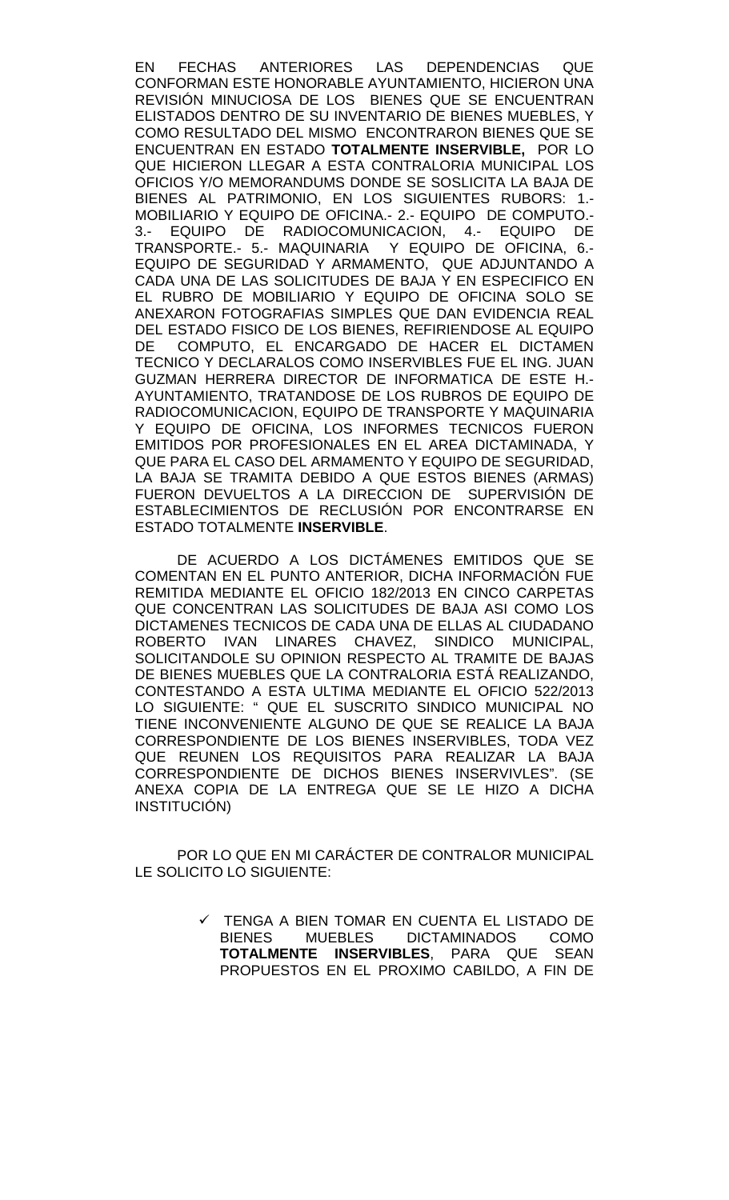EN FECHAS ANTERIORES LAS DEPENDENCIAS QUE CONFORMAN ESTE HONORABLE AYUNTAMIENTO, HICIERON UNA REVISIÓN MINUCIOSA DE LOS BIENES QUE SE ENCUENTRAN ELISTADOS DENTRO DE SU INVENTARIO DE BIENES MUEBLES, Y COMO RESULTADO DEL MISMO ENCONTRARON BIENES QUE SE ENCUENTRAN EN ESTADO **TOTALMENTE INSERVIBLE,** POR LO QUE HICIERON LLEGAR A ESTA CONTRALORIA MUNICIPAL LOS OFICIOS Y/O MEMORANDUMS DONDE SE SOSLICITA LA BAJA DE BIENES AL PATRIMONIO, EN LOS SIGUIENTES RUBORS: 1.- MOBILIARIO Y EQUIPO DE OFICINA.- 2.- EQUIPO DE COMPUTO.- 3.- EQUIPO DE RADIOCOMUNICACION, 4.- EQUIPO DE TRANSPORTE.- 5.- MAQUINARIA Y EQUIPO DE OFICINA, 6.- EQUIPO DE SEGURIDAD Y ARMAMENTO, QUE ADJUNTANDO A CADA UNA DE LAS SOLICITUDES DE BAJA Y EN ESPECIFICO EN EL RUBRO DE MOBILIARIO Y EQUIPO DE OFICINA SOLO SE ANEXARON FOTOGRAFIAS SIMPLES QUE DAN EVIDENCIA REAL DEL ESTADO FISICO DE LOS BIENES, REFIRIENDOSE AL EQUIPO DE COMPUTO, EL ENCARGADO DE HACER EL DICTAMEN TECNICO Y DECLARALOS COMO INSERVIBLES FUE EL ING. JUAN GUZMAN HERRERA DIRECTOR DE INFORMATICA DE ESTE H.- AYUNTAMIENTO, TRATANDOSE DE LOS RUBROS DE EQUIPO DE RADIOCOMUNICACION, EQUIPO DE TRANSPORTE Y MAQUINARIA Y EQUIPO DE OFICINA, LOS INFORMES TECNICOS FUERON EMITIDOS POR PROFESIONALES EN EL AREA DICTAMINADA, Y QUE PARA EL CASO DEL ARMAMENTO Y EQUIPO DE SEGURIDAD, LA BAJA SE TRAMITA DEBIDO A QUE ESTOS BIENES (ARMAS) FUERON DEVUELTOS A LA DIRECCION DE SUPERVISIÓN DE ESTABLECIMIENTOS DE RECLUSIÓN POR ENCONTRARSE EN ESTADO TOTALMENTE **INSERVIBLE**.

DE ACUERDO A LOS DICTÁMENES EMITIDOS QUE SE COMENTAN EN EL PUNTO ANTERIOR, DICHA INFORMACIÓN FUE REMITIDA MEDIANTE EL OFICIO 182/2013 EN CINCO CARPETAS QUE CONCENTRAN LAS SOLICITUDES DE BAJA ASI COMO LOS DICTAMENES TECNICOS DE CADA UNA DE ELLAS AL CIUDADANO ROBERTO IVAN LINARES CHAVEZ, SINDICO MUNICIPAL, SOLICITANDOLE SU OPINION RESPECTO AL TRAMITE DE BAJAS DE BIENES MUEBLES QUE LA CONTRALORIA ESTÁ REALIZANDO, CONTESTANDO A ESTA ULTIMA MEDIANTE EL OFICIO 522/2013 LO SIGUIENTE: " QUE EL SUSCRITO SINDICO MUNICIPAL NO TIENE INCONVENIENTE ALGUNO DE QUE SE REALICE LA BAJA CORRESPONDIENTE DE LOS BIENES INSERVIBLES, TODA VEZ QUE REUNEN LOS REQUISITOS PARA REALIZAR LA BAJA CORRESPONDIENTE DE DICHOS BIENES INSERVIVLES". (SE ANEXA COPIA DE LA ENTREGA QUE SE LE HIZO A DICHA INSTITUCIÓN)

POR LO QUE EN MI CARÁCTER DE CONTRALOR MUNICIPAL LE SOLICITO LO SIGUIENTE:

> TENGA A BIEN TOMAR EN CUENTA EL LISTADO DE BIENES MUEBLES DICTAMINADOS COMO **TOTALMENTE INSERVIBLES**, PARA QUE SEAN PROPUESTOS EN EL PROXIMO CABILDO, A FIN DE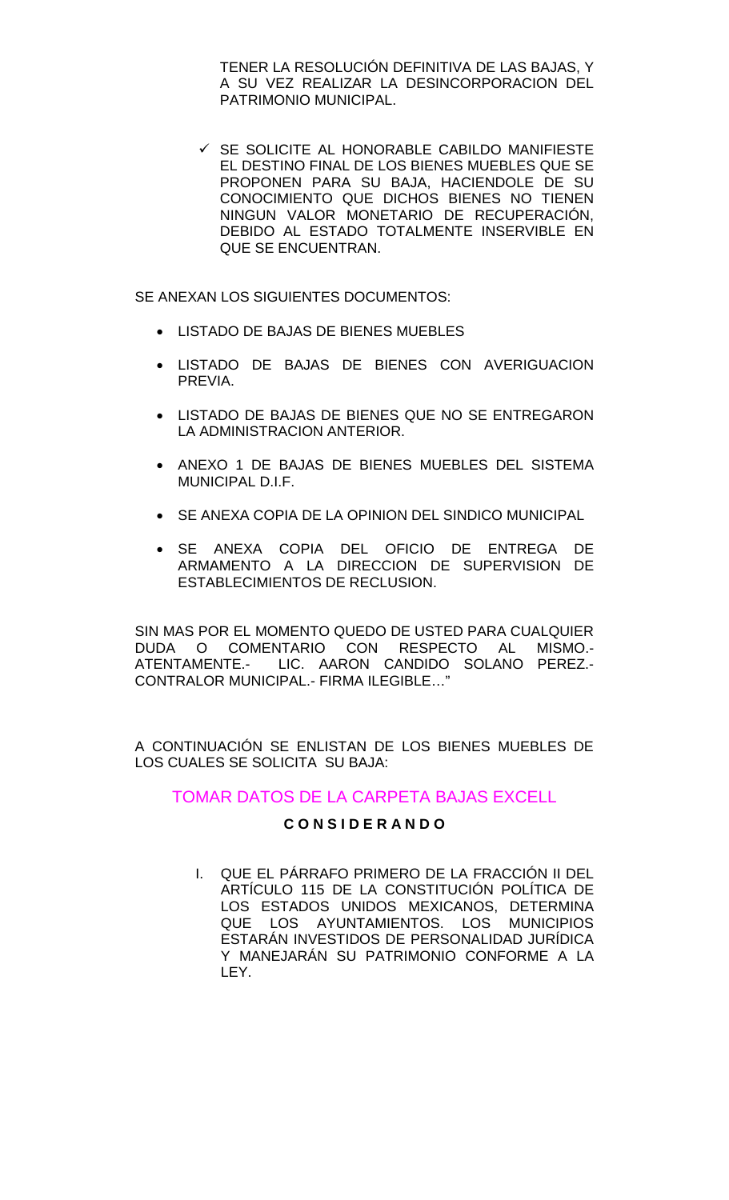TENER LA RESOLUCIÓN DEFINITIVA DE LAS BAJAS, Y A SU VEZ REALIZAR LA DESINCORPORACION DEL PATRIMONIO MUNICIPAL.

 $\checkmark$  SE SOLICITE AL HONORABLE CABILDO MANIFIESTE EL DESTINO FINAL DE LOS BIENES MUEBLES QUE SE PROPONEN PARA SU BAJA, HACIENDOLE DE SU CONOCIMIENTO QUE DICHOS BIENES NO TIENEN NINGUN VALOR MONETARIO DE RECUPERACIÓN, DEBIDO AL ESTADO TOTALMENTE INSERVIBLE EN QUE SE ENCUENTRAN.

SE ANEXAN LOS SIGUIENTES DOCUMENTOS:

- LISTADO DE BAJAS DE BIENES MUEBLES
- LISTADO DE BAJAS DE BIENES CON AVERIGUACION PREVIA.
- LISTADO DE BAJAS DE BIENES QUE NO SE ENTREGARON LA ADMINISTRACION ANTERIOR.
- ANEXO 1 DE BAJAS DE BIENES MUEBLES DEL SISTEMA MUNICIPAL D.I.F.
- SE ANEXA COPIA DE LA OPINION DEL SINDICO MUNICIPAL
- SE ANEXA COPIA DEL OFICIO DE ENTREGA DE ARMAMENTO A LA DIRECCION DE SUPERVISION DE ESTABLECIMIENTOS DE RECLUSION.

SIN MAS POR EL MOMENTO QUEDO DE USTED PARA CUALQUIER DUDA O COMENTARIO CON RESPECTO AL MISMO.- LIC. AARON CANDIDO SOLANO PEREZ.-CONTRALOR MUNICIPAL.- FIRMA ILEGIBLE…"

A CONTINUACIÓN SE ENLISTAN DE LOS BIENES MUEBLES DE LOS CUALES SE SOLICITA SU BAJA:

### TOMAR DATOS DE LA CARPETA BAJAS EXCELL

### **C O N S I D E R A N D O**

I. QUE EL PÁRRAFO PRIMERO DE LA FRACCIÓN II DEL ARTÍCULO 115 DE LA CONSTITUCIÓN POLÍTICA DE LOS ESTADOS UNIDOS MEXICANOS, DETERMINA QUE LOS AYUNTAMIENTOS. LOS MUNICIPIOS ESTARÁN INVESTIDOS DE PERSONALIDAD JURÍDICA Y MANEJARÁN SU PATRIMONIO CONFORME A LA LEY.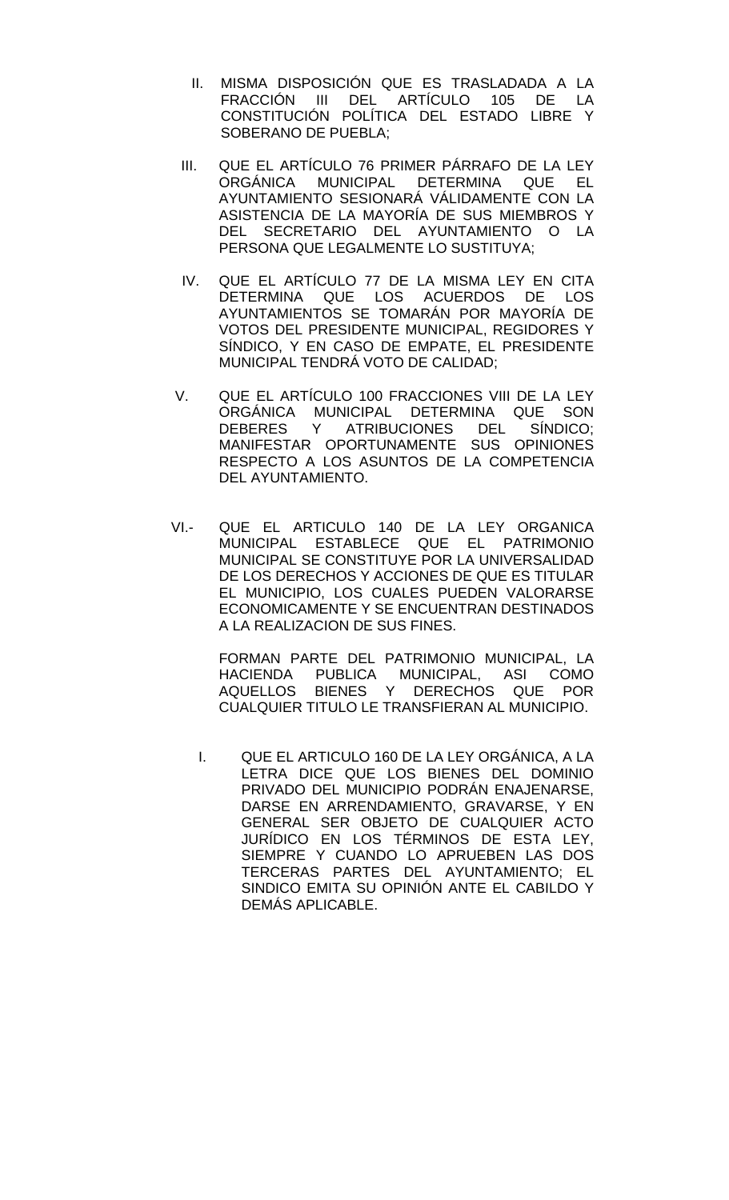- II. MISMA DISPOSICIÓN QUE ES TRASLADADA A LA<br>FRACCIÓN III DEL ARTÍCULO 105 DE LA ARTÍCULO 105 DE LA CONSTITUCIÓN POLÍTICA DEL ESTADO LIBRE Y SOBERANO DE PUEBLA;
- III. QUE EL ARTÍCULO 76 PRIMER PÁRRAFO DE LA LEY ORGÁNICA MUNICIPAL DETERMINA QUE EL AYUNTAMIENTO SESIONARÁ VÁLIDAMENTE CON LA ASISTENCIA DE LA MAYORÍA DE SUS MIEMBROS Y DEL SECRETARIO DEL AYUNTAMIENTO O LA PERSONA QUE LEGALMENTE LO SUSTITUYA;
- IV. QUE EL ARTÍCULO 77 DE LA MISMA LEY EN CITA DETERMINA QUE LOS ACUERDOS DE LOS AYUNTAMIENTOS SE TOMARÁN POR MAYORÍA DE VOTOS DEL PRESIDENTE MUNICIPAL, REGIDORES Y SÍNDICO, Y EN CASO DE EMPATE, EL PRESIDENTE MUNICIPAL TENDRÁ VOTO DE CALIDAD;
- V. QUE EL ARTÍCULO 100 FRACCIONES VIII DE LA LEY ORGÁNICA MUNICIPAL DETERMINA QUE SON DEBERES Y ATRIBUCIONES DEL SÍNDICO; MANIFESTAR OPORTUNAMENTE SUS OPINIONES RESPECTO A LOS ASUNTOS DE LA COMPETENCIA DEL AYUNTAMIENTO.
- VI.- QUE EL ARTICULO 140 DE LA LEY ORGANICA MUNICIPAL ESTABLECE QUE EL PATRIMONIO MUNICIPAL SE CONSTITUYE POR LA UNIVERSALIDAD DE LOS DERECHOS Y ACCIONES DE QUE ES TITULAR EL MUNICIPIO, LOS CUALES PUEDEN VALORARSE ECONOMICAMENTE Y SE ENCUENTRAN DESTINADOS A LA REALIZACION DE SUS FINES.

 FORMAN PARTE DEL PATRIMONIO MUNICIPAL, LA HACIENDA PUBLICA MUNICIPAL, ASI COMO AQUELLOS BIENES Y DERECHOS QUE POR CUALQUIER TITULO LE TRANSFIERAN AL MUNICIPIO.

I. QUE EL ARTICULO 160 DE LA LEY ORGÁNICA, A LA LETRA DICE QUE LOS BIENES DEL DOMINIO PRIVADO DEL MUNICIPIO PODRÁN ENAJENARSE, DARSE EN ARRENDAMIENTO, GRAVARSE, Y EN GENERAL SER OBJETO DE CUALQUIER ACTO JURÍDICO EN LOS TÉRMINOS DE ESTA LEY, SIEMPRE Y CUANDO LO APRUEBEN LAS DOS TERCERAS PARTES DEL AYUNTAMIENTO; EL SINDICO EMITA SU OPINIÓN ANTE EL CABILDO Y DEMÁS APLICABLE.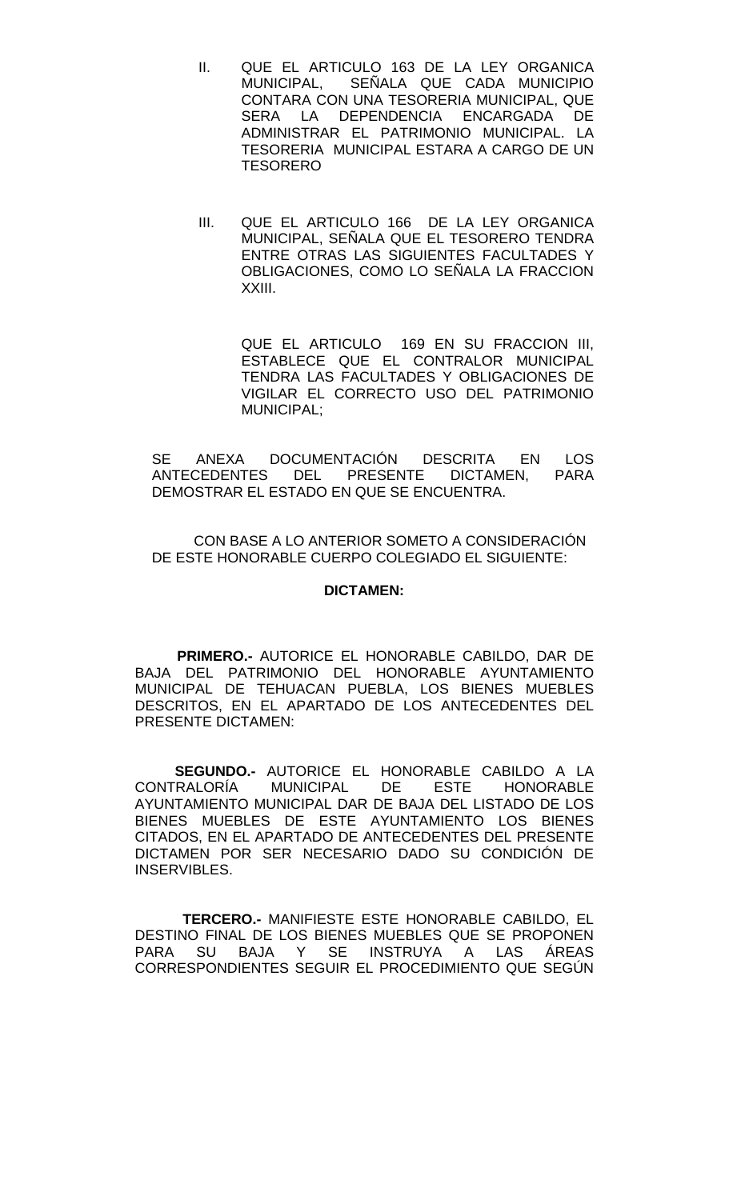- II. QUE EL ARTICULO 163 DE LA LEY ORGANICA MUNICIPAL, SEÑALA QUE CADA MUNICIPIO CONTARA CON UNA TESORERIA MUNICIPAL, QUE DEPENDENCIA ENCARGADA DE ADMINISTRAR EL PATRIMONIO MUNICIPAL. LA TESORERIA MUNICIPAL ESTARA A CARGO DE UN TESORERO
- III. QUE EL ARTICULO 166 DE LA LEY ORGANICA MUNICIPAL, SEÑALA QUE EL TESORERO TENDRA ENTRE OTRAS LAS SIGUIENTES FACULTADES Y OBLIGACIONES, COMO LO SEÑALA LA FRACCION XXIII.

QUE EL ARTICULO 169 EN SU FRACCION III, ESTABLECE QUE EL CONTRALOR MUNICIPAL TENDRA LAS FACULTADES Y OBLIGACIONES DE VIGILAR EL CORRECTO USO DEL PATRIMONIO MUNICIPAL;

SE ANEXA DOCUMENTACIÓN DESCRITA EN LOS<br>ANTECEDENTES DEL PRESENTE DICTAMEN. PARA DEL PRESENTE DEMOSTRAR EL ESTADO EN QUE SE ENCUENTRA.

CON BASE A LO ANTERIOR SOMETO A CONSIDERACIÓN DE ESTE HONORABLE CUERPO COLEGIADO EL SIGUIENTE:

#### **DICTAMEN:**

**PRIMERO.-** AUTORICE EL HONORABLE CABILDO, DAR DE BAJA DEL PATRIMONIO DEL HONORABLE AYUNTAMIENTO MUNICIPAL DE TEHUACAN PUEBLA, LOS BIENES MUEBLES DESCRITOS, EN EL APARTADO DE LOS ANTECEDENTES DEL PRESENTE DICTAMEN:

 **SEGUNDO.-** AUTORICE EL HONORABLE CABILDO A LA CONTRALORÍA MUNICIPAL DE ESTE HONORABLE AYUNTAMIENTO MUNICIPAL DAR DE BAJA DEL LISTADO DE LOS BIENES MUEBLES DE ESTE AYUNTAMIENTO LOS BIENES CITADOS, EN EL APARTADO DE ANTECEDENTES DEL PRESENTE DICTAMEN POR SER NECESARIO DADO SU CONDICIÓN DE INSERVIBLES.

 **TERCERO.-** MANIFIESTE ESTE HONORABLE CABILDO, EL DESTINO FINAL DE LOS BIENES MUEBLES QUE SE PROPONEN PARA SU BAJA Y SE INSTRUYA A LAS ÁREAS CORRESPONDIENTES SEGUIR EL PROCEDIMIENTO QUE SEGÚN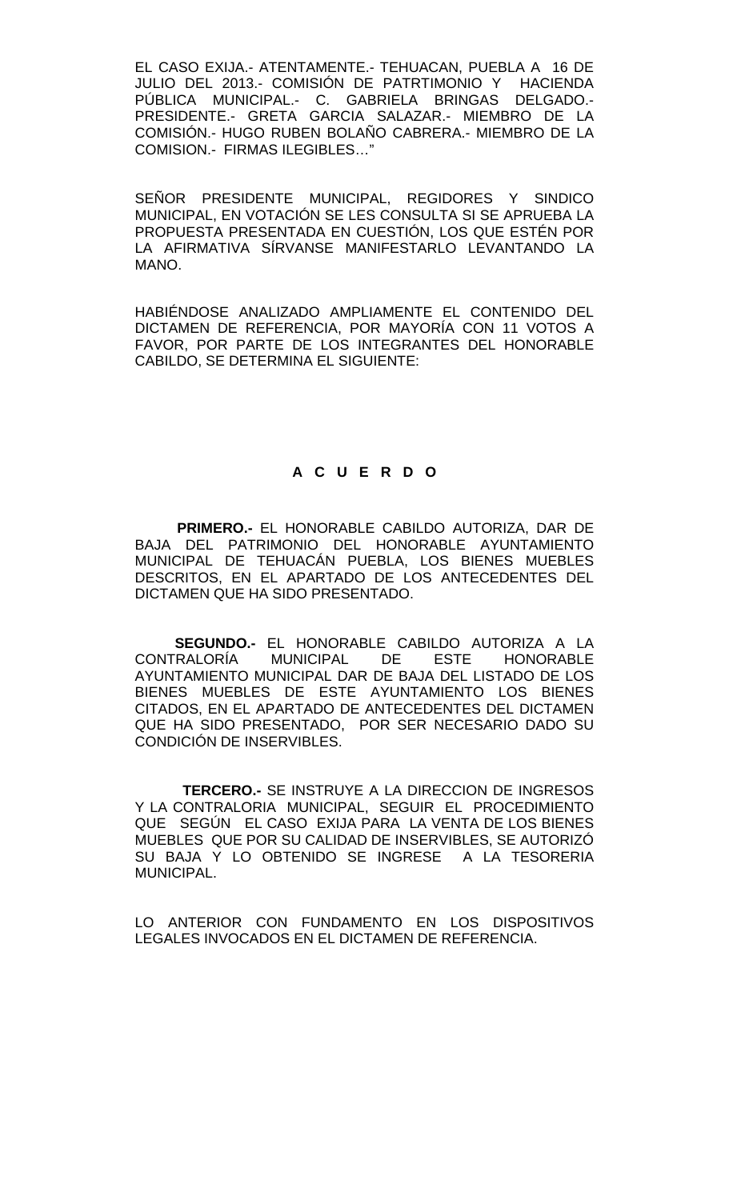EL CASO EXIJA.- ATENTAMENTE.- TEHUACAN, PUEBLA A 16 DE JULIO DEL 2013.- COMISIÓN DE PATRTIMONIO Y HACIENDA PÚBLICA MUNICIPAL.- C. GABRIELA BRINGAS DELGADO.- PRESIDENTE.- GRETA GARCIA SALAZAR.- MIEMBRO DE LA COMISIÓN.- HUGO RUBEN BOLAÑO CABRERA.- MIEMBRO DE LA COMISION.- FIRMAS ILEGIBLES…"

SEÑOR PRESIDENTE MUNICIPAL, REGIDORES Y SINDICO MUNICIPAL, EN VOTACIÓN SE LES CONSULTA SI SE APRUEBA LA PROPUESTA PRESENTADA EN CUESTIÓN, LOS QUE ESTÉN POR LA AFIRMATIVA SÍRVANSE MANIFESTARLO LEVANTANDO LA MANO.

HABIÉNDOSE ANALIZADO AMPLIAMENTE EL CONTENIDO DEL DICTAMEN DE REFERENCIA, POR MAYORÍA CON 11 VOTOS A FAVOR, POR PARTE DE LOS INTEGRANTES DEL HONORABLE CABILDO, SE DETERMINA EL SIGUIENTE:

## **A C U E R D O**

**PRIMERO.-** EL HONORABLE CABILDO AUTORIZA, DAR DE BAJA DEL PATRIMONIO DEL HONORABLE AYUNTAMIENTO MUNICIPAL DE TEHUACÁN PUEBLA, LOS BIENES MUEBLES DESCRITOS, EN EL APARTADO DE LOS ANTECEDENTES DEL DICTAMEN QUE HA SIDO PRESENTADO.

 **SEGUNDO.-** EL HONORABLE CABILDO AUTORIZA A LA CONTRALORÍA MUNICIPAL DE ESTE HONORABLE AYUNTAMIENTO MUNICIPAL DAR DE BAJA DEL LISTADO DE LOS BIENES MUEBLES DE ESTE AYUNTAMIENTO LOS BIENES CITADOS, EN EL APARTADO DE ANTECEDENTES DEL DICTAMEN QUE HA SIDO PRESENTADO, POR SER NECESARIO DADO SU CONDICIÓN DE INSERVIBLES.

 **TERCERO.-** SE INSTRUYE A LA DIRECCION DE INGRESOS Y LA CONTRALORIA MUNICIPAL, SEGUIR EL PROCEDIMIENTO QUE SEGÚN EL CASO EXIJA PARA LA VENTA DE LOS BIENES MUEBLES QUE POR SU CALIDAD DE INSERVIBLES, SE AUTORIZÓ SU BAJA Y LO OBTENIDO SE INGRESE A LA TESORERIA MUNICIPAL.

LO ANTERIOR CON FUNDAMENTO EN LOS DISPOSITIVOS LEGALES INVOCADOS EN EL DICTAMEN DE REFERENCIA.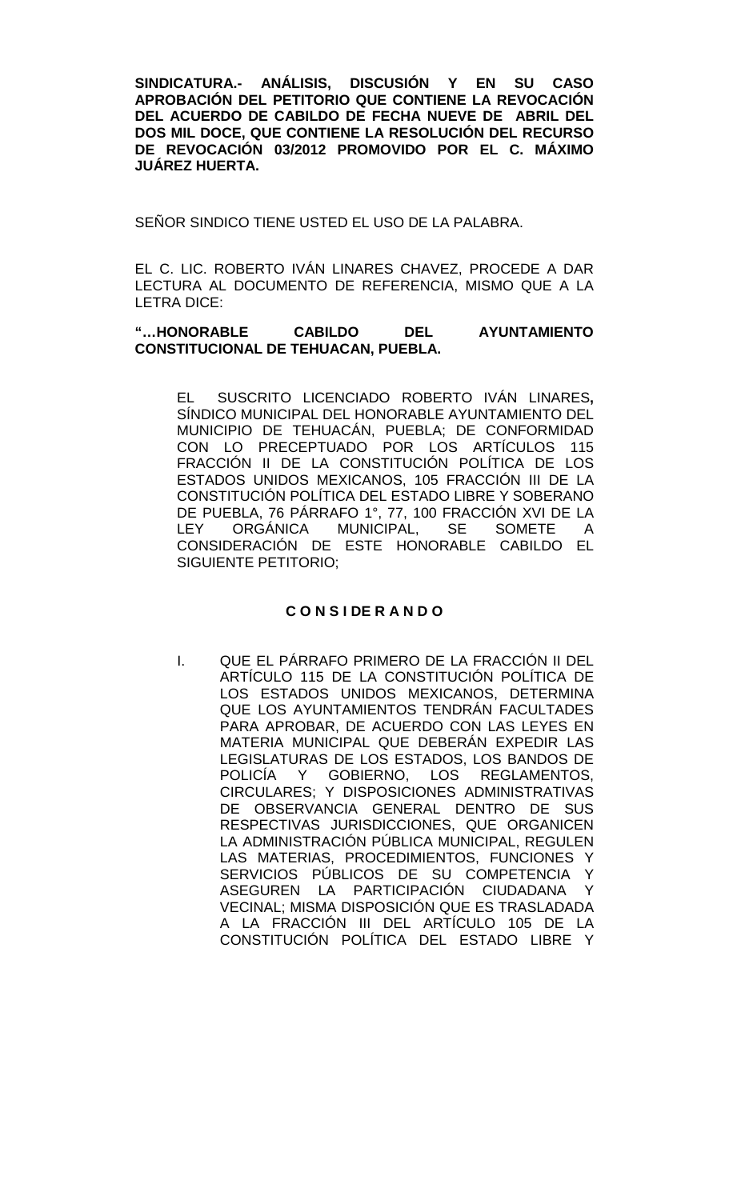**SINDICATURA.- ANÁLISIS, DISCUSIÓN Y EN SU CASO APROBACIÓN DEL PETITORIO QUE CONTIENE LA REVOCACIÓN DEL ACUERDO DE CABILDO DE FECHA NUEVE DE ABRIL DEL DOS MIL DOCE, QUE CONTIENE LA RESOLUCIÓN DEL RECURSO DE REVOCACIÓN 03/2012 PROMOVIDO POR EL C. MÁXIMO JUÁREZ HUERTA.**

SEÑOR SINDICO TIENE USTED EL USO DE LA PALABRA.

EL C. LIC. ROBERTO IVÁN LINARES CHAVEZ, PROCEDE A DAR LECTURA AL DOCUMENTO DE REFERENCIA, MISMO QUE A LA LETRA DICE:

### **"…HONORABLE CABILDO DEL AYUNTAMIENTO CONSTITUCIONAL DE TEHUACAN, PUEBLA.**

EL SUSCRITO LICENCIADO ROBERTO IVÁN LINARES**,** SÍNDICO MUNICIPAL DEL HONORABLE AYUNTAMIENTO DEL MUNICIPIO DE TEHUACÁN, PUEBLA; DE CONFORMIDAD CON LO PRECEPTUADO POR LOS ARTÍCULOS 115 FRACCIÓN II DE LA CONSTITUCIÓN POLÍTICA DE LOS ESTADOS UNIDOS MEXICANOS, 105 FRACCIÓN III DE LA CONSTITUCIÓN POLÍTICA DEL ESTADO LIBRE Y SOBERANO DE PUEBLA, 76 PÁRRAFO 1°, 77, 100 FRACCIÓN XVI DE LA<br>LEY ORGÁNICA MUNICIPAL. SE SOMETE A ORGÁNICA MUNICIPAL, SE SOMETE A CONSIDERACIÓN DE ESTE HONORABLE CABILDO EL SIGUIENTE PETITORIO;

## **C O N S I DE R A N D O**

I. QUE EL PÁRRAFO PRIMERO DE LA FRACCIÓN II DEL ARTÍCULO 115 DE LA CONSTITUCIÓN POLÍTICA DE LOS ESTADOS UNIDOS MEXICANOS, DETERMINA QUE LOS AYUNTAMIENTOS TENDRÁN FACULTADES PARA APROBAR, DE ACUERDO CON LAS LEYES EN MATERIA MUNICIPAL QUE DEBERÁN EXPEDIR LAS LEGISLATURAS DE LOS ESTADOS, LOS BANDOS DE POLICÍA Y GOBIERNO, LOS REGLAMENTOS, CIRCULARES; Y DISPOSICIONES ADMINISTRATIVAS DE OBSERVANCIA GENERAL DENTRO DE SUS RESPECTIVAS JURISDICCIONES, QUE ORGANICEN LA ADMINISTRACIÓN PÚBLICA MUNICIPAL, REGULEN LAS MATERIAS, PROCEDIMIENTOS, FUNCIONES Y SERVICIOS PÚBLICOS DE SU COMPETENCIA Y ASEGUREN LA PARTICIPACIÓN CIUDADANA Y VECINAL; MISMA DISPOSICIÓN QUE ES TRASLADADA A LA FRACCIÓN III DEL ARTÍCULO 105 DE LA CONSTITUCIÓN POLÍTICA DEL ESTADO LIBRE Y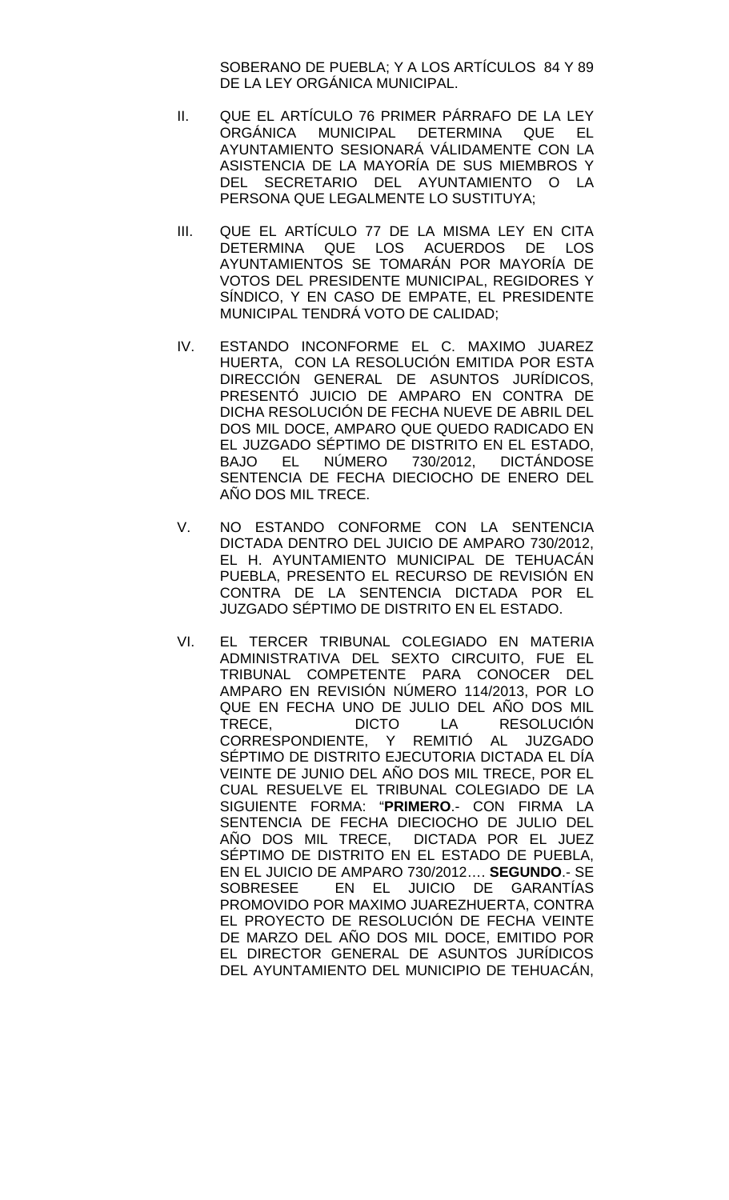SOBERANO DE PUEBLA; Y A LOS ARTÍCULOS 84 Y 89 DE LA LEY ORGÁNICA MUNICIPAL.

- II. QUE EL ARTÍCULO 76 PRIMER PÁRRAFO DE LA LEY MUNICIPAL DETERMINA QUE EL AYUNTAMIENTO SESIONARÁ VÁLIDAMENTE CON LA ASISTENCIA DE LA MAYORÍA DE SUS MIEMBROS Y DEL SECRETARIO DEL AYUNTAMIENTO O LA PERSONA QUE LEGALMENTE LO SUSTITUYA;
- III. QUE EL ARTÍCULO 77 DE LA MISMA LEY EN CITA DETERMINA QUE LOS ACUERDOS DE LOS AYUNTAMIENTOS SE TOMARÁN POR MAYORÍA DE VOTOS DEL PRESIDENTE MUNICIPAL, REGIDORES Y SÍNDICO, Y EN CASO DE EMPATE, EL PRESIDENTE MUNICIPAL TENDRÁ VOTO DE CALIDAD;
- IV. ESTANDO INCONFORME EL C. MAXIMO JUAREZ HUERTA, CON LA RESOLUCIÓN EMITIDA POR ESTA DIRECCIÓN GENERAL DE ASUNTOS JURÍDICOS, PRESENTO JUICIO DE AMPARO EN CONTRA DE DICHA RESOLUCIÓN DE FECHA NUEVE DE ABRIL DEL DOS MIL DOCE, AMPARO QUE QUEDO RADICADO EN EL JUZGADO SÉPTIMO DE DISTRITO EN EL ESTADO, BAJO EL NÚMERO 730/2012, DICTÁNDOSE SENTENCIA DE FECHA DIECIOCHO DE ENERO DEL AÑO DOS MIL TRECE.
- V. NO ESTANDO CONFORME CON LA SENTENCIA DICTADA DENTRO DEL JUICIO DE AMPARO 730/2012, EL H. AYUNTAMIENTO MUNICIPAL DE TEHUACÁN PUEBLA, PRESENTO EL RECURSO DE REVISIÓN EN CONTRA DE LA SENTENCIA DICTADA POR EL JUZGADO SÉPTIMO DE DISTRITO EN EL ESTADO.
- VI. EL TERCER TRIBUNAL COLEGIADO EN MATERIA ADMINISTRATIVA DEL SEXTO CIRCUITO, FUE EL TRIBUNAL COMPETENTE PARA CONOCER DEL AMPARO EN REVISIÓN NÚMERO 114/2013, POR LO QUE EN FECHA UNO DE JULIO DEL AÑO DOS MIL TRECE, DICTO LA RESOLUCIÓN<br>CORRESPONDIENTE, Y REMITIÓ AL JUZGADO CORRESPONDIENTE, Y SÉPTIMO DE DISTRITO EJECUTORIA DICTADA EL DÍA VEINTE DE JUNIO DEL AÑO DOS MIL TRECE, POR EL CUAL RESUELVE EL TRIBUNAL COLEGIADO DE LA SIGUIENTE FORMA: "**PRIMERO**.- CON FIRMA LA SENTENCIA DE FECHA DIECIOCHO DE JULIO DEL AÑO DOS MIL TRECE, DICTADA POR EL JUEZ SÉPTIMO DE DISTRITO EN EL ESTADO DE PUEBLA, EN EL JUICIO DE AMPARO 730/2012…. **SEGUNDO**.- SE SOBRESEE EN EL JUICIO DE GARANTÍAS PROMOVIDO POR MAXIMO JUAREZHUERTA, CONTRA EL PROYECTO DE RESOLUCIÓN DE FECHA VEINTE DE MARZO DEL AÑO DOS MIL DOCE, EMITIDO POR EL DIRECTOR GENERAL DE ASUNTOS JURÍDICOS DEL AYUNTAMIENTO DEL MUNICIPIO DE TEHUACÁN,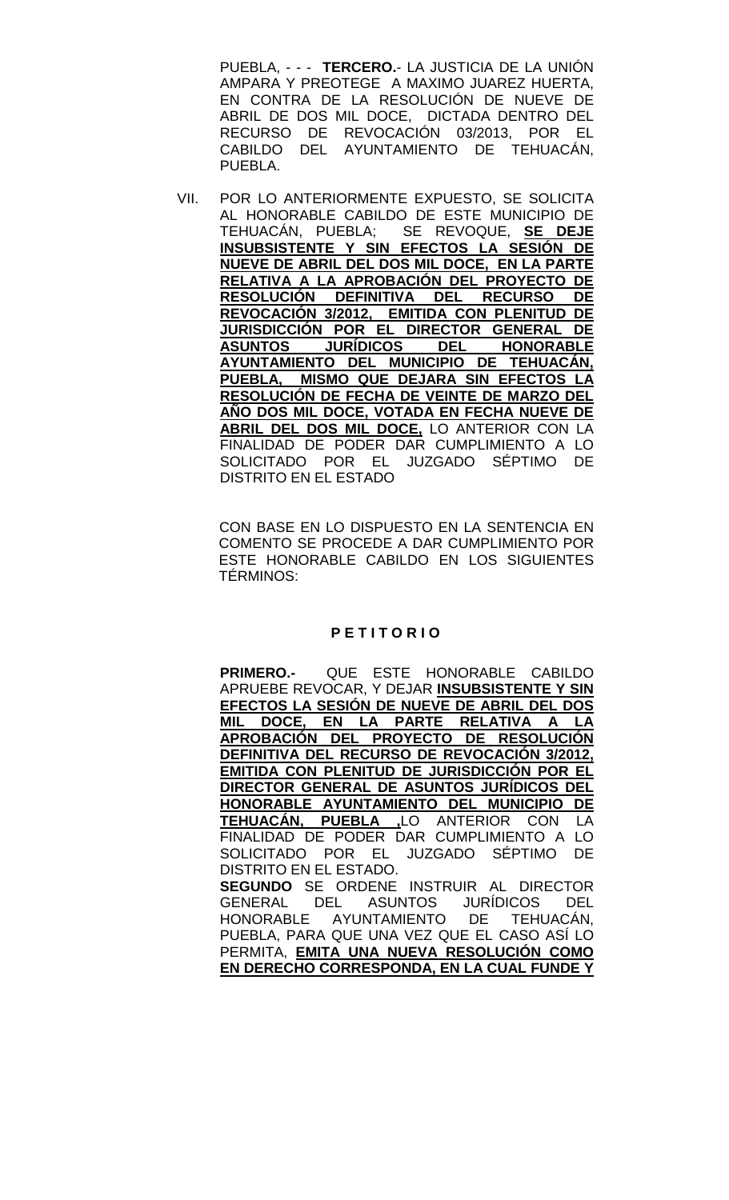PUEBLA, - - - **TERCERO.**- LA JUSTICIA DE LA UNIÓN AMPARA Y PREOTEGE A MAXIMO JUAREZ HUERTA, EN CONTRA DE LA RESOLUCIÓN DE NUEVE DE ABRIL DE DOS MIL DOCE, DICTADA DENTRO DEL RECURSO DE REVOCACIÓN 03/2013, POR EL CABILDO DEL AYUNTAMIENTO DE TEHUACÁN, PUEBLA.

VII. POR LO ANTERIORMENTE EXPUESTO, SE SOLICITA AL HONORABLE CABILDO DE ESTE MUNICIPIO DE TEHUACÁN, PUEBLA; SE REVOQUE, **SE DEJE INSUBSISTENTE Y SIN EFECTOS LA SESIÓN DE NUEVE DE ABRIL DEL DOS MIL DOCE, EN LA PARTE RELATIVA A LA APROBACIÓN DEL PROYECTO DE RESOLUCIÓN DEFINITIVA DEL RECURSO DE REVOCACIÓN 3/2012, EMITIDA CON PLENITUD DE JURISDICCIÓN POR EL DIRECTOR GENERAL DE ASUNTOS JURÍDICOS DEL HONORABLE AYUNTAMIENTO DEL MUNICIPIO DE TEHUACÁN, PUEBLA, MISMO QUE DEJARA SIN EFECTOS LA RESOLUCIÓN DE FECHA DE VEINTE DE MARZO DEL AÑO DOS MIL DOCE, VOTADA EN FECHA NUEVE DE ABRIL DEL DOS MIL DOCE,** LO ANTERIOR CON LA FINALIDAD DE PODER DAR CUMPLIMIENTO A LO SOLICITADO POR EL JUZGADO SÉPTIMO DE DISTRITO EN EL ESTADO

CON BASE EN LO DISPUESTO EN LA SENTENCIA EN COMENTO SE PROCEDE A DAR CUMPLIMIENTO POR ESTE HONORABLE CABILDO EN LOS SIGUIENTES TÉRMINOS:

#### **P E T I T O R I O**

**PRIMERO.-** QUE ESTE HONORABLE CABILDO APRUEBE REVOCAR, Y DEJAR **INSUBSISTENTE Y SIN EFECTOS LA SESIÓN DE NUEVE DE ABRIL DEL DOS MIL DOCE, EN LA PARTE RELATIVA APROBACIÓN DEL PROYECTO DE RESOLUCIÓN DEFINITIVA DEL RECURSO DE REVOCACIÓN 3/2012, EMITIDA CON PLENITUD DE JURISDICCIÓN POR EL DIRECTOR GENERAL DE ASUNTOS JURÍDICOS DEL HONORABLE AYUNTAMIENTO DEL MUNICIPIO DE TEHUACÁN, PUEBLA ,**LO ANTERIOR CON LA FINALIDAD DE PODER DAR CUMPLIMIENTO A LO SOLICITADO POR EL JUZGADO SÉPTIMO DE DISTRITO EN EL ESTADO. **SEGUNDO** SE ORDENE INSTRUIR AL DIRECTOR GENERAL DEL ASUNTOS JURÍDICOS DEL HONORABLE AYUNTAMIENTO DE TEHUACÁN, PUEBLA, PARA QUE UNA VEZ QUE EL CASO ASÍ LO PERMITA, **EMITA UNA NUEVA RESOLUCIÓN COMO EN DERECHO CORRESPONDA, EN LA CUAL FUNDE Y**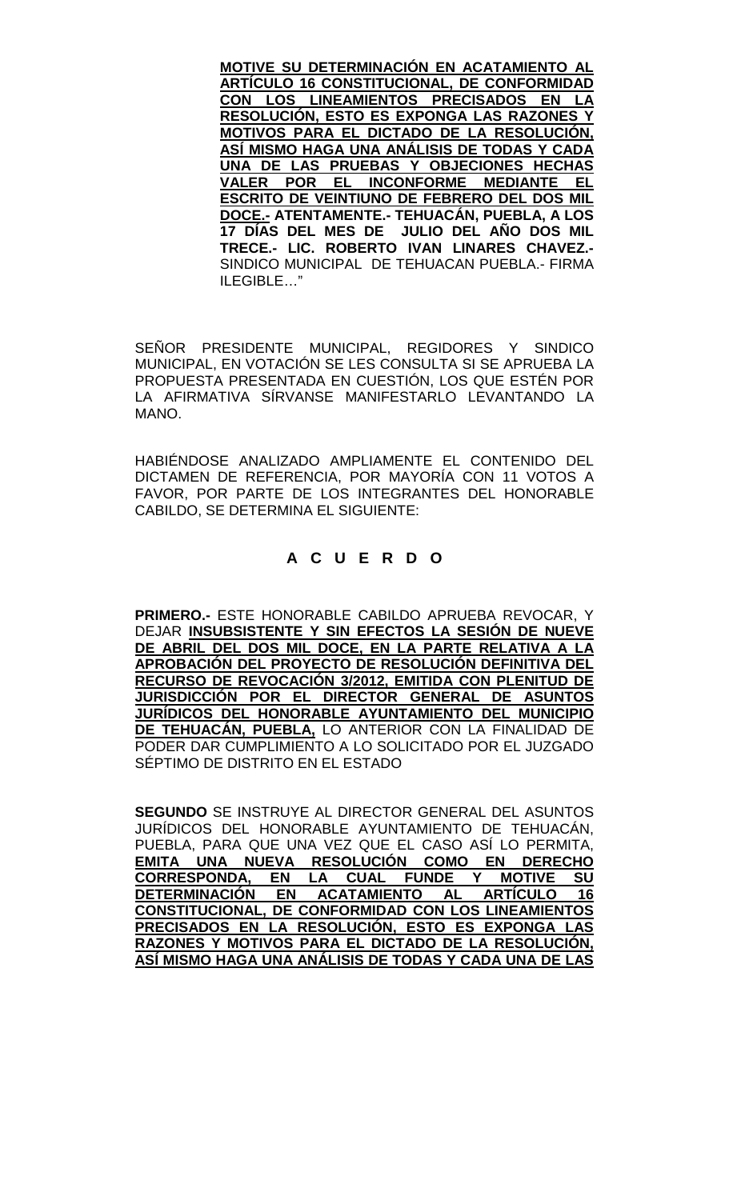**MOTIVE SU DETERMINACIÓN EN ACATAMIENTO AL ARTÍCULO 16 CONSTITUCIONAL, DE CONFORMIDAD CON LOS LINEAMIENTOS PRECISADOS EN LA RESOLUCIÓN, ESTO ES EXPONGA LAS RAZONES Y MOTIVOS PARA EL DICTADO DE LA RESOLUCIÓN, ASÍ MISMO HAGA UNA ANÁLISIS DE TODAS Y CADA UNA DE LAS PRUEBAS Y OBJECIONES HECHAS VALER POR EL INCONFORME MEDIANTE EL ESCRITO DE VEINTIUNO DE FEBRERO DEL DOS MIL DOCE.- ATENTAMENTE.- TEHUACÁN, PUEBLA, A LOS 17 DÍAS DEL MES DE JULIO DEL AÑO DOS MIL TRECE.- LIC. ROBERTO IVAN LINARES CHAVEZ.-** SINDICO MUNICIPAL DE TEHUACAN PUEBLA.- FIRMA ILEGIBLE…"

SEÑOR PRESIDENTE MUNICIPAL, REGIDORES Y SINDICO MUNICIPAL, EN VOTACIÓN SE LES CONSULTA SI SE APRUEBA LA PROPUESTA PRESENTADA EN CUESTIÓN, LOS QUE ESTÉN POR LA AFIRMATIVA SÍRVANSE MANIFESTARLO LEVANTANDO LA MANO.

HABIÉNDOSE ANALIZADO AMPLIAMENTE EL CONTENIDO DEL DICTAMEN DE REFERENCIA, POR MAYORÍA CON 11 VOTOS A FAVOR, POR PARTE DE LOS INTEGRANTES DEL HONORABLE CABILDO, SE DETERMINA EL SIGUIENTE:

# **A C U E R D O**

**PRIMERO.-** ESTE HONORABLE CABILDO APRUEBA REVOCAR, Y DEJAR **INSUBSISTENTE Y SIN EFECTOS LA SESIÓN DE NUEVE DE ABRIL DEL DOS MIL DOCE, EN LA PARTE RELATIVA A LA APROBACIÓN DEL PROYECTO DE RESOLUCIÓN DEFINITIVA DEL RECURSO DE REVOCACIÓN 3/2012, EMITIDA CON PLENITUD DE JURISDICCIÓN POR EL DIRECTOR GENERAL DE ASUNTOS JURÍDICOS DEL HONORABLE AYUNTAMIENTO DEL MUNICIPIO DE TEHUACÁN, PUEBLA,** LO ANTERIOR CON LA FINALIDAD DE PODER DAR CUMPLIMIENTO A LO SOLICITADO POR EL JUZGADO SÉPTIMO DE DISTRITO EN EL ESTADO

**SEGUNDO** SE INSTRUYE AL DIRECTOR GENERAL DEL ASUNTOS JURÍDICOS DEL HONORABLE AYUNTAMIENTO DE TEHUACÁN, PUEBLA, PARA QUE UNA VEZ QUE EL CASO ASÍ LO PERMITA, **EMITA UNA NUEVA RESOLUCIÓN COMO EN DERECHO CORRESPONDA, EN LA CUAL FUNDE Y MOTIVE SU DETERMINACIÓN EN CONSTITUCIONAL, DE CONFORMIDAD CON LOS LINEAMIENTOS PRECISADOS EN LA RESOLUCIÓN, ESTO ES EXPONGA LAS RAZONES Y MOTIVOS PARA EL DICTADO DE LA RESOLUCIÓN, ASÍ MISMO HAGA UNA ANÁLISIS DE TODAS Y CADA UNA DE LAS**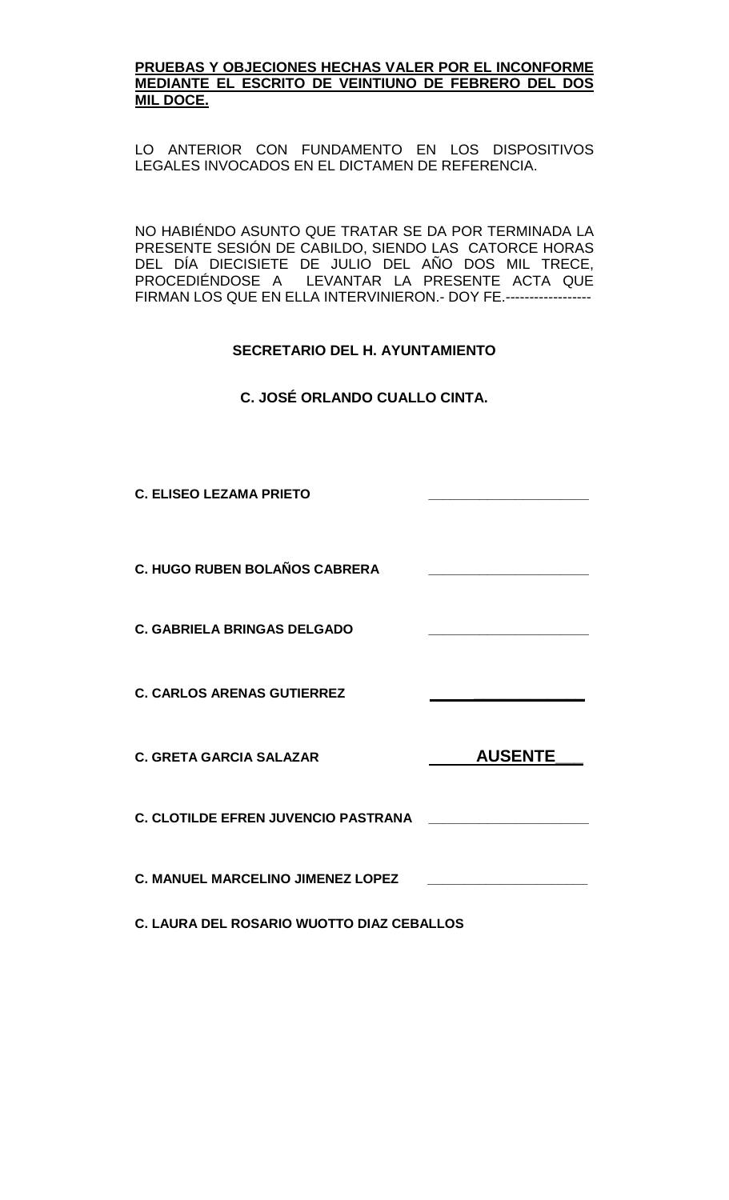#### **PRUEBAS Y OBJECIONES HECHAS VALER POR EL INCONFORME MEDIANTE EL ESCRITO DE VEINTIUNO DE FEBRERO DEL DOS MIL DOCE.**

LO ANTERIOR CON FUNDAMENTO EN LOS DISPOSITIVOS LEGALES INVOCADOS EN EL DICTAMEN DE REFERENCIA.

NO HABIÉNDO ASUNTO QUE TRATAR SE DA POR TERMINADA LA PRESENTE SESIÓN DE CABILDO, SIENDO LAS CATORCE HORAS DEL DIA DIECISIETE DE JULIO DEL ANO DOS MIL TRECE, PROCEDIÉNDOSE A LEVANTAR LA PRESENTE ACTA QUE FIRMAN LOS QUE EN ELLA INTERVINIERON.- DOY FE.------------------

## **SECRETARIO DEL H. AYUNTAMIENTO**

**C. JOSÉ ORLANDO CUALLO CINTA.**

**C. ELISEO LEZAMA PRIETO \_\_\_\_\_\_\_\_\_\_\_\_\_\_\_\_\_\_\_\_\_\_**

**C. HUGO RUBEN BOLAÑOS CABRERA \_\_\_\_\_\_\_\_\_\_\_\_\_\_\_\_\_\_\_\_\_\_**

**C. GABRIELA BRINGAS DELGADO \_\_\_\_\_\_\_\_\_\_\_\_\_\_\_\_\_\_\_\_\_\_** 

**C. CARLOS ARENAS GUTIERREZ \_\_\_\_\_\_\_\_\_\_\_\_** 

C. GRETA GARCIA SALAZAR **AUSENTE** 

**C. CLOTILDE EFREN JUVENCIO PASTRANA \_\_\_\_\_\_\_\_\_\_\_\_\_\_\_\_\_\_\_\_\_\_**

**C. MANUEL MARCELINO JIMENEZ LOPEZ \_\_\_\_\_\_\_\_\_\_\_\_\_\_\_\_\_\_\_\_\_\_**

**C. LAURA DEL ROSARIO WUOTTO DIAZ CEBALLOS**